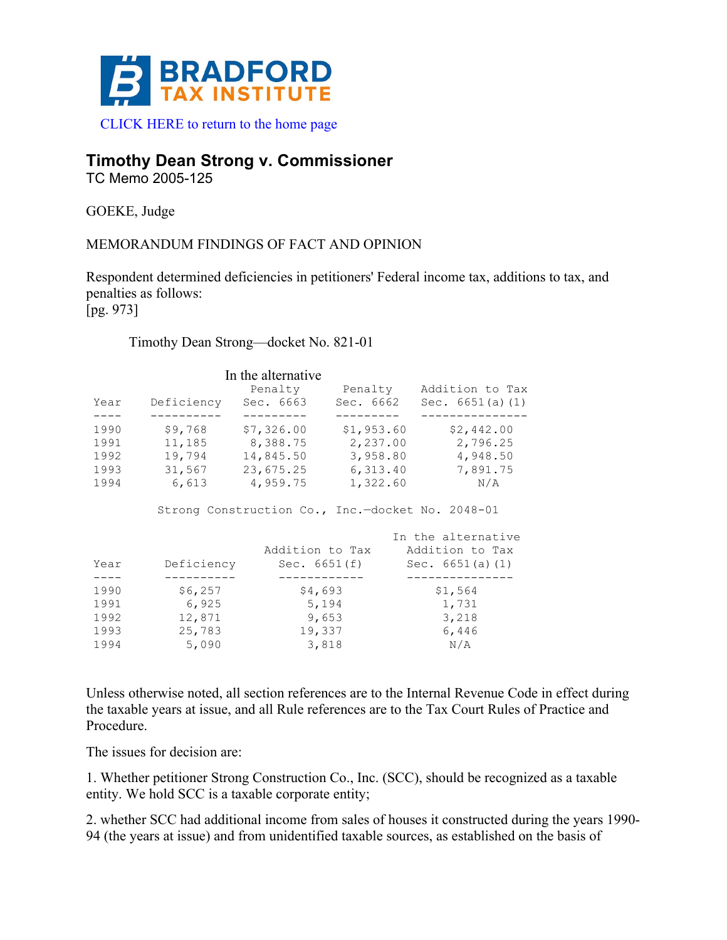

# **Timothy Dean Strong v. Commissioner**

TC Memo 2005-125

GOEKE, Judge

## MEMORANDUM FINDINGS OF FACT AND OPINION

Respondent determined deficiencies in petitioners' Federal income tax, additions to tax, and penalties as follows:

[pg. 973]

#### Timothy Dean Strong—docket No. 821-01

| Year | Deficiency | In the alternative<br>Penalty<br>Sec. 6663 | Penalty<br>Sec. 6662 | Addition to Tax<br>Sec. $6651(a)(1)$ |
|------|------------|--------------------------------------------|----------------------|--------------------------------------|
|      |            |                                            |                      |                                      |
| 1990 | \$9,768    | \$7,326.00                                 | \$1,953.60           | \$2,442.00                           |
| 1991 | 11,185     | 8,388.75                                   | 2,237.00             | 2,796.25                             |
| 1992 | 19,794     | 14,845.50                                  | 3,958.80             | 4,948.50                             |
| 1993 | 31,567     | 23,675.25                                  | 6,313.40             | 7,891.75                             |
| 1994 | 6,613      | 4,959.75                                   | 1,322.60             | N/A                                  |

Strong Construction Co., Inc.—docket No. 2048-01

|      |            |                 | In the alternative |
|------|------------|-----------------|--------------------|
|      |            | Addition to Tax | Addition to Tax    |
| Year | Deficiency | Sec. $6651(f)$  | Sec. $6651(a)(1)$  |
|      |            |                 |                    |
| 1990 | \$6,257    | \$4,693         | \$1,564            |
| 1991 | 6,925      | 5,194           | 1,731              |
| 1992 | 12,871     | 9,653           | 3,218              |
| 1993 | 25,783     | 19,337          | 6,446              |
| 1994 | 5,090      | 3,818           | N/A                |

Unless otherwise noted, all section references are to the Internal Revenue Code in effect during the taxable years at issue, and all Rule references are to the Tax Court Rules of Practice and Procedure.

The issues for decision are:

1. Whether petitioner Strong Construction Co., Inc. (SCC), should be recognized as a taxable entity. We hold SCC is a taxable corporate entity;

2. whether SCC had additional income from sales of houses it constructed during the years 1990- 94 (the years at issue) and from unidentified taxable sources, as established on the basis of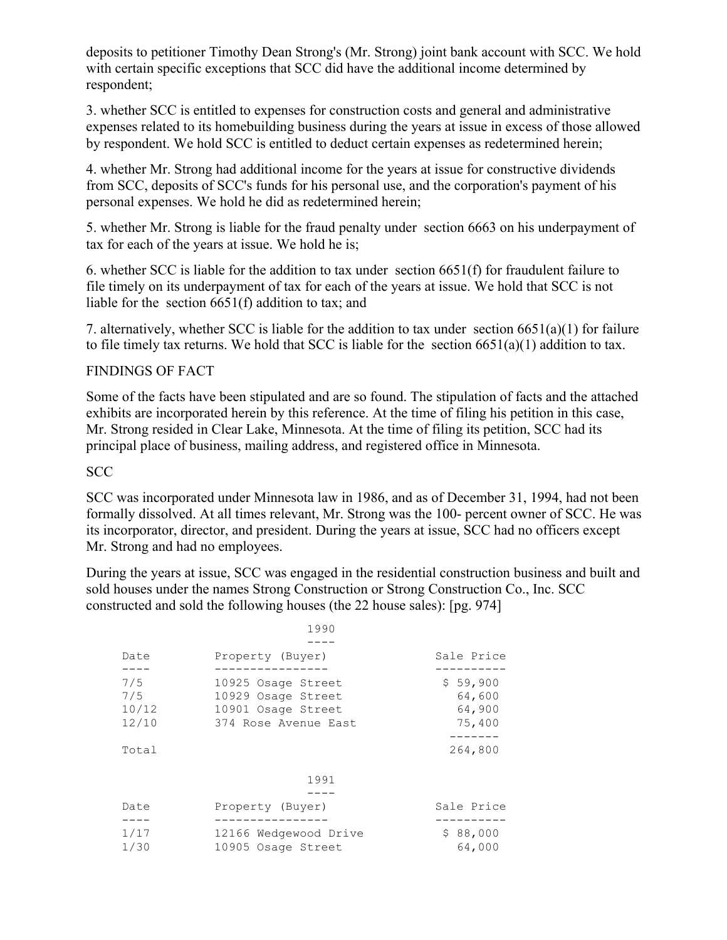deposits to petitioner Timothy Dean Strong's (Mr. Strong) joint bank account with SCC. We hold with certain specific exceptions that SCC did have the additional income determined by respondent;

3. whether SCC is entitled to expenses for construction costs and general and administrative expenses related to its homebuilding business during the years at issue in excess of those allowed by respondent. We hold SCC is entitled to deduct certain expenses as redetermined herein;

4. whether Mr. Strong had additional income for the years at issue for constructive dividends from SCC, deposits of SCC's funds for his personal use, and the corporation's payment of his personal expenses. We hold he did as redetermined herein;

5. whether Mr. Strong is liable for the fraud penalty under section 6663 on his underpayment of tax for each of the years at issue. We hold he is;

6. whether SCC is liable for the addition to tax under section 6651(f) for fraudulent failure to file timely on its underpayment of tax for each of the years at issue. We hold that SCC is not liable for the section 6651(f) addition to tax; and

7. alternatively, whether SCC is liable for the addition to tax under section 6651(a)(1) for failure to file timely tax returns. We hold that SCC is liable for the section  $6651(a)(1)$  addition to tax.

#### FINDINGS OF FACT

Some of the facts have been stipulated and are so found. The stipulation of facts and the attached exhibits are incorporated herein by this reference. At the time of filing his petition in this case, Mr. Strong resided in Clear Lake, Minnesota. At the time of filing its petition, SCC had its principal place of business, mailing address, and registered office in Minnesota.

#### **SCC**

SCC was incorporated under Minnesota law in 1986, and as of December 31, 1994, had not been formally dissolved. At all times relevant, Mr. Strong was the 100- percent owner of SCC. He was its incorporator, director, and president. During the years at issue, SCC had no officers except Mr. Strong and had no employees.

During the years at issue, SCC was engaged in the residential construction business and built and sold houses under the names Strong Construction or Strong Construction Co., Inc. SCC constructed and sold the following houses (the 22 house sales): [pg. 974]

|                              | 1990                                                                                   |                                        |
|------------------------------|----------------------------------------------------------------------------------------|----------------------------------------|
|                              |                                                                                        |                                        |
| Date                         | Property (Buyer)                                                                       | Sale Price                             |
| 7/5<br>7/5<br>10/12<br>12/10 | 10925 Osage Street<br>10929 Osage Street<br>10901 Osage Street<br>374 Rose Avenue East | \$59,900<br>64,600<br>64,900<br>75,400 |
| Total                        |                                                                                        | 264,800                                |
|                              | 1991                                                                                   |                                        |
| Date                         | Property (Buyer)                                                                       | Sale Price                             |
| 1/17<br>1/30                 | 12166 Wedgewood Drive<br>10905 Osage Street                                            | \$88,000<br>64,000                     |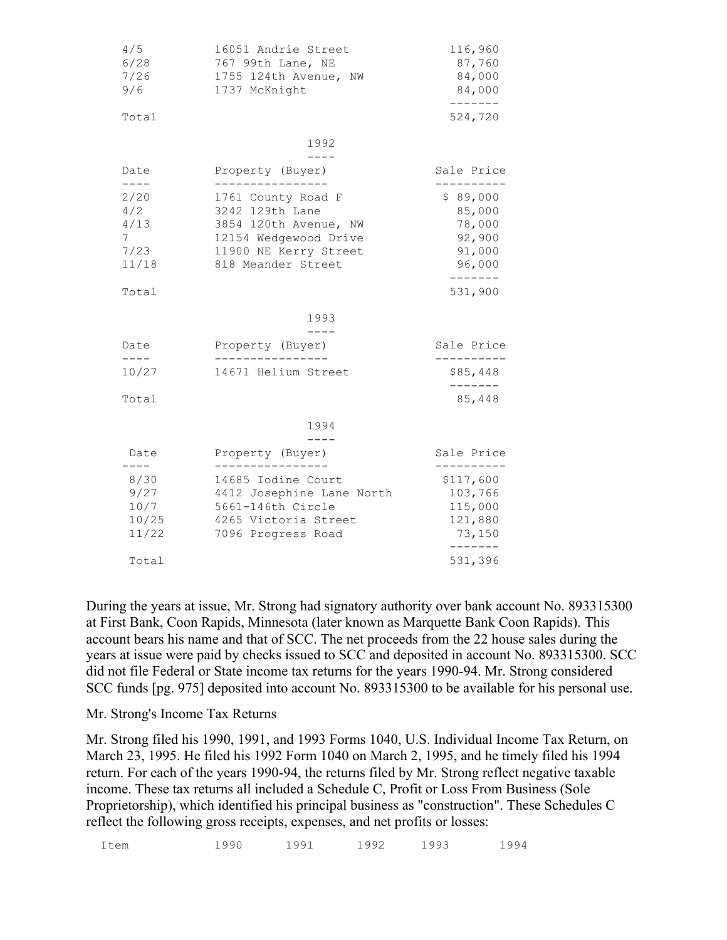| 4/5<br>6/28<br>7/26<br>9/6                                          | 16051 Andrie Street<br>767 99th Lane, NE<br>1755 124th Avenue, NW<br>1737 McKnight                                                                         | 116,960<br>87,760<br>84,000<br>84,000                                              |
|---------------------------------------------------------------------|------------------------------------------------------------------------------------------------------------------------------------------------------------|------------------------------------------------------------------------------------|
| Total                                                               |                                                                                                                                                            | -------<br>524,720                                                                 |
|                                                                     | 1992<br>$- - - -$                                                                                                                                          |                                                                                    |
| Date                                                                | Property (Buyer)                                                                                                                                           | Sale Price                                                                         |
| $- - - -$<br>2/20<br>4/2<br>4/13<br>7 <sup>7</sup><br>7/23<br>11/18 | ----------------<br>1761 County Road F<br>3242 129th Lane<br>3854 120th Avenue, NW<br>12154 Wedgewood Drive<br>11900 NE Kerry Street<br>818 Meander Street | ---------<br>\$89,000<br>85,000<br>78,000<br>92,900<br>91,000<br>96,000<br>------- |
| Total                                                               |                                                                                                                                                            | 531,900                                                                            |
|                                                                     | 1993                                                                                                                                                       |                                                                                    |
| Date<br>$- - - -$                                                   | $-- - -$<br>Property (Buyer)                                                                                                                               | Sale Price                                                                         |
| 10/27                                                               | 14671 Helium Street                                                                                                                                        | \$85,448                                                                           |
| Total                                                               |                                                                                                                                                            | $- - - -$<br>85,448                                                                |
|                                                                     | 1994                                                                                                                                                       |                                                                                    |
| Date<br>$- - - -$                                                   | Property (Buyer)<br>-------------                                                                                                                          | Sale Price<br>. _ _ _ _ _ _ _                                                      |
| 8/30<br>9/27<br>10/7<br>10/25<br>11/22                              | 14685 Iodine Court<br>4412 Josephine Lane North<br>5661-146th Circle<br>4265 Victoria Street<br>7096 Progress Road                                         | \$117,600<br>103,766<br>115,000<br>121,880<br>73,150<br>------                     |
| Total                                                               |                                                                                                                                                            | 531,396                                                                            |

During the years at issue, Mr. Strong had signatory authority over bank account No. 893315300 at First Bank, Coon Rapids, Minnesota (later known as Marquette Bank Coon Rapids). This account bears his name and that of SCC. The net proceeds from the 22 house sales during the years at issue were paid by checks issued to SCC and deposited in account No. 893315300. SCC did not file Federal or State income tax returns for the years 1990-94. Mr. Strong considered SCC funds [pg. 975] deposited into account No. 893315300 to be available for his personal use.

#### Mr. Strong's Income Tax Returns

Mr. Strong filed his 1990, 1991, and 1993 Forms 1040, U.S. Individual Income Tax Return, on March 23, 1995. He filed his 1992 Form 1040 on March 2, 1995, and he timely filed his 1994 return. For each of the years 1990-94, the returns filed by Mr. Strong reflect negative taxable income. These tax returns all included a Schedule C, Profit or Loss From Business (Sole Proprietorship), which identified his principal business as "construction". These Schedules C reflect the following gross receipts, expenses, and net profits or losses:

Item 1990 1991 1992 1993 1994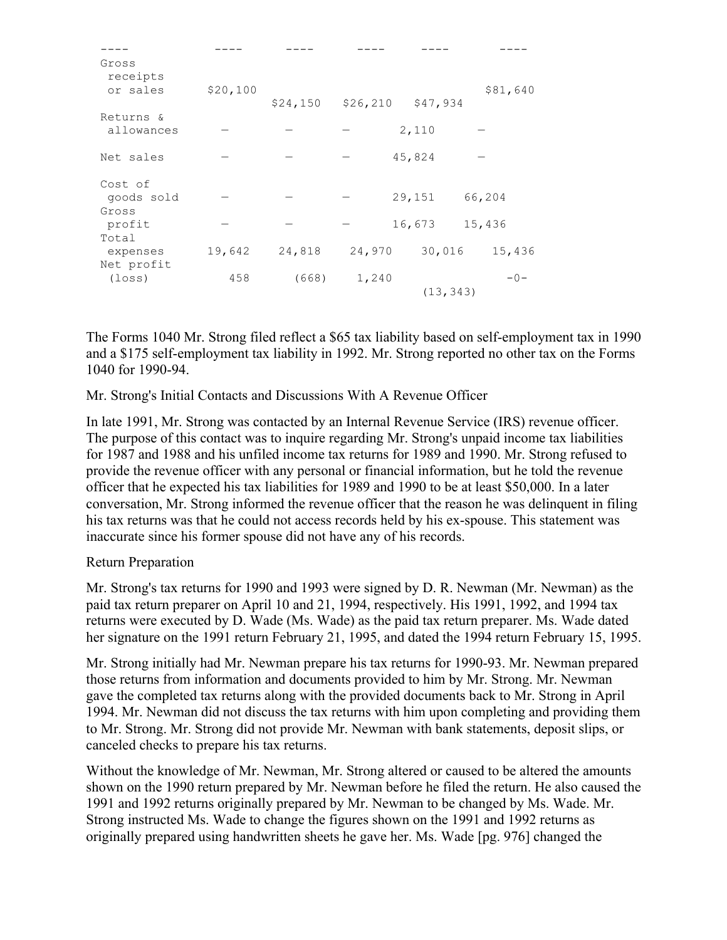| Gross<br>receipts<br>or sales  | \$20,100 | \$24,150 | \$26, 210 | \$47,934  | \$81,640 |
|--------------------------------|----------|----------|-----------|-----------|----------|
| Returns &<br>allowances        |          |          |           | 2,110     |          |
| Net sales                      |          |          |           | 45,824    |          |
| Cost of<br>goods sold<br>Gross |          |          |           | 29,151    | 66,204   |
| profit<br>Total                |          |          |           | 16,673    | 15,436   |
| expenses<br>Net profit         | 19,642   | 24,818   | 24,970    | 30,016    | 15,436   |
| $(\texttt{loss})$              | 458      | (668)    | 1,240     | (13, 343) | $-0-$    |

The Forms 1040 Mr. Strong filed reflect a \$65 tax liability based on self-employment tax in 1990 and a \$175 self-employment tax liability in 1992. Mr. Strong reported no other tax on the Forms 1040 for 1990-94.

Mr. Strong's Initial Contacts and Discussions With A Revenue Officer

In late 1991, Mr. Strong was contacted by an Internal Revenue Service (IRS) revenue officer. The purpose of this contact was to inquire regarding Mr. Strong's unpaid income tax liabilities for 1987 and 1988 and his unfiled income tax returns for 1989 and 1990. Mr. Strong refused to provide the revenue officer with any personal or financial information, but he told the revenue officer that he expected his tax liabilities for 1989 and 1990 to be at least \$50,000. In a later conversation, Mr. Strong informed the revenue officer that the reason he was delinquent in filing his tax returns was that he could not access records held by his ex-spouse. This statement was inaccurate since his former spouse did not have any of his records.

#### Return Preparation

Mr. Strong's tax returns for 1990 and 1993 were signed by D. R. Newman (Mr. Newman) as the paid tax return preparer on April 10 and 21, 1994, respectively. His 1991, 1992, and 1994 tax returns were executed by D. Wade (Ms. Wade) as the paid tax return preparer. Ms. Wade dated her signature on the 1991 return February 21, 1995, and dated the 1994 return February 15, 1995.

Mr. Strong initially had Mr. Newman prepare his tax returns for 1990-93. Mr. Newman prepared those returns from information and documents provided to him by Mr. Strong. Mr. Newman gave the completed tax returns along with the provided documents back to Mr. Strong in April 1994. Mr. Newman did not discuss the tax returns with him upon completing and providing them to Mr. Strong. Mr. Strong did not provide Mr. Newman with bank statements, deposit slips, or canceled checks to prepare his tax returns.

Without the knowledge of Mr. Newman, Mr. Strong altered or caused to be altered the amounts shown on the 1990 return prepared by Mr. Newman before he filed the return. He also caused the 1991 and 1992 returns originally prepared by Mr. Newman to be changed by Ms. Wade. Mr. Strong instructed Ms. Wade to change the figures shown on the 1991 and 1992 returns as originally prepared using handwritten sheets he gave her. Ms. Wade [pg. 976] changed the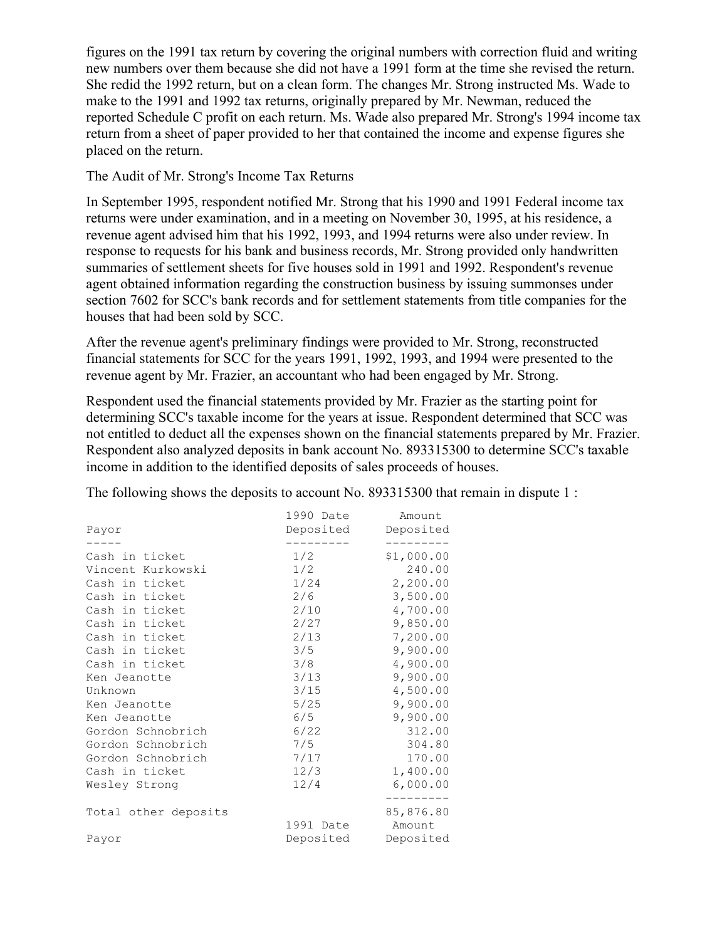figures on the 1991 tax return by covering the original numbers with correction fluid and writing new numbers over them because she did not have a 1991 form at the time she revised the return. She redid the 1992 return, but on a clean form. The changes Mr. Strong instructed Ms. Wade to make to the 1991 and 1992 tax returns, originally prepared by Mr. Newman, reduced the reported Schedule C profit on each return. Ms. Wade also prepared Mr. Strong's 1994 income tax return from a sheet of paper provided to her that contained the income and expense figures she placed on the return.

The Audit of Mr. Strong's Income Tax Returns

In September 1995, respondent notified Mr. Strong that his 1990 and 1991 Federal income tax returns were under examination, and in a meeting on November 30, 1995, at his residence, a revenue agent advised him that his 1992, 1993, and 1994 returns were also under review. In response to requests for his bank and business records, Mr. Strong provided only handwritten summaries of settlement sheets for five houses sold in 1991 and 1992. Respondent's revenue agent obtained information regarding the construction business by issuing summonses under section 7602 for SCC's bank records and for settlement statements from title companies for the houses that had been sold by SCC.

After the revenue agent's preliminary findings were provided to Mr. Strong, reconstructed financial statements for SCC for the years 1991, 1992, 1993, and 1994 were presented to the revenue agent by Mr. Frazier, an accountant who had been engaged by Mr. Strong.

Respondent used the financial statements provided by Mr. Frazier as the starting point for determining SCC's taxable income for the years at issue. Respondent determined that SCC was not entitled to deduct all the expenses shown on the financial statements prepared by Mr. Frazier. Respondent also analyzed deposits in bank account No. 893315300 to determine SCC's taxable income in addition to the identified deposits of sales proceeds of houses.

The following shows the deposits to account No. 893315300 that remain in dispute 1 :

|                      | 1990 Date | Amount     |
|----------------------|-----------|------------|
| Payor                | Deposited | Deposited  |
|                      |           |            |
| Cash in ticket       | 1/2       | \$1,000.00 |
| Vincent Kurkowski    | 1/2       | 240.00     |
| Cash in ticket       | 1/24      | 2,200.00   |
| Cash in ticket       | 2/6       | 3,500.00   |
| Cash in ticket       | 2/10      | 4,700.00   |
| Cash in ticket       | 2/27      | 9,850.00   |
| Cash in ticket       | 2/13      | 7,200.00   |
| Cash in ticket       | 3/5       | 9,900.00   |
| Cash in ticket       | 3/8       | 4,900.00   |
| Ken Jeanotte         | 3/13      | 9,900.00   |
| Unknown              | 3/15      | 4,500.00   |
| Ken Jeanotte         | 5/25      | 9,900.00   |
| Ken Jeanotte         | 6/5       | 9,900.00   |
| Gordon Schnobrich    | 6/22      | 312.00     |
| Gordon Schnobrich    | 7/5       | 304.80     |
| Gordon Schnobrich    | 7/17      | 170.00     |
| Cash in ticket       | 12/3      | 1,400.00   |
| Wesley Strong        | 12/4      | 6,000.00   |
|                      |           |            |
| Total other deposits |           | 85,876.80  |
|                      | 1991 Date | Amount     |
| Payor                | Deposited | Deposited  |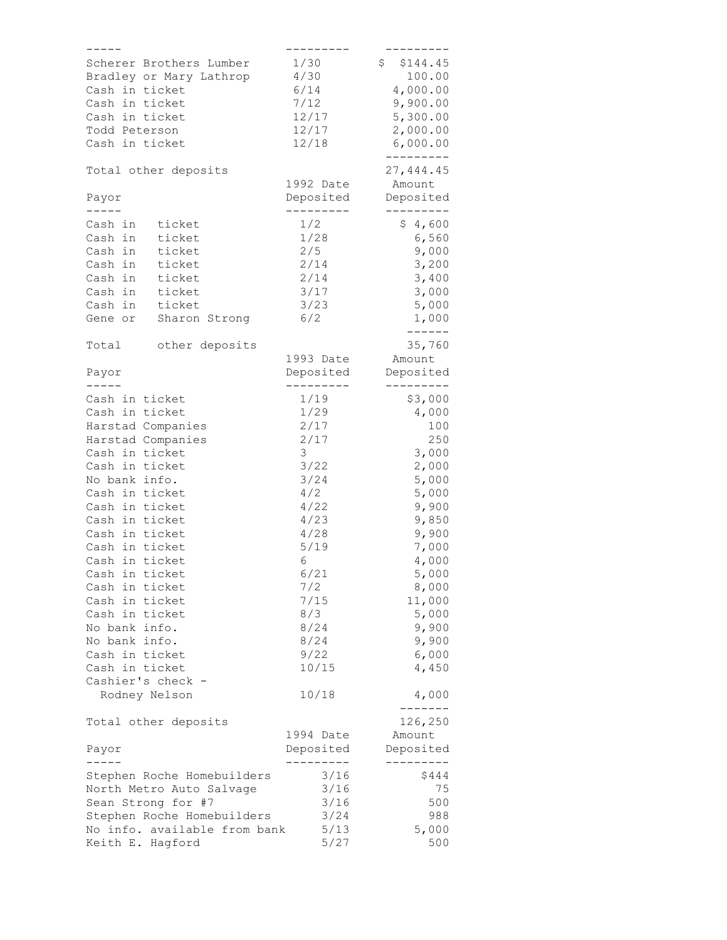| -----                        | ------     |                |
|------------------------------|------------|----------------|
| Scherer Brothers Lumber      | 1/30       | \$144.45       |
| Bradley or Mary Lathrop      | 4/30       | 100.00         |
| Cash in ticket               | 6/14       | 4,000.00       |
|                              |            |                |
| Cash in ticket               | 7/12       | 9,900.00       |
| Cash in ticket               | 12/17      | 5,300.00       |
| Todd Peterson                | 12/17      | 2,000.00       |
| Cash in ticket               | 12/18      | 6,000.00       |
|                              |            | ----------     |
| Total other deposits         |            | 27,444.45      |
|                              | 1992 Date  | Amount         |
|                              |            |                |
| Payor                        | Deposited  | Deposited      |
| $   -$                       | ---------- |                |
| Cash in<br>ticket            | 1/2        | \$4,600        |
| Cash in<br>ticket            | 1/28       | 6,560          |
| Cash in<br>ticket            | 2/5        | 9,000          |
| Cash in<br>ticket            | 2/14       | 3,200          |
| Cash in<br>ticket            | 2/14       | 3,400          |
|                              |            |                |
| ticket<br>Cash in            | 3/17       | 3,000          |
| Cash in<br>ticket            | 3/23       | 5,000          |
| Sharon Strong<br>Gene or     | 6/2        | 1,000          |
|                              |            | ------         |
| Total<br>other deposits      |            | 35,760         |
|                              | 1993 Date  | Amount         |
| Payor                        | Deposited  | Deposited      |
| -----                        | ---------  | ---------      |
|                              |            |                |
| Cash in ticket               | 1/19       | \$3,000        |
| Cash in ticket               | 1/29       | 4,000          |
| Harstad Companies            | 2/17       | 100            |
| Harstad Companies            | 2/17       | 250            |
| Cash in ticket               | 3          | 3,000          |
| Cash in ticket               | 3/22       | 2,000          |
|                              |            |                |
| No bank info.                | 3/24       | 5,000          |
| Cash in ticket               | 4/2        | 5,000          |
| Cash in ticket               | 4/22       | 9,900          |
| Cash in ticket               | 4/23       | 9,850          |
| Cash in ticket               | 4/28       | 9,900          |
| Cash in ticket               | 5/19       | 7,000          |
| Cash in ticket               | 6          | 4,000          |
|                              |            |                |
| Cash in ticket               | 6/21       | 5,000          |
| Cash in ticket               | 7/2        | 8,000          |
| Cash in ticket               | 7/15       | 11,000         |
| Cash in ticket               | 8/3        | 5,000          |
| No bank info.                | 8/24       | 9,900          |
| No bank info.                | 8/24       | 9,900          |
| Cash in ticket               | 9/22       | 6,000          |
| Cash in ticket               |            |                |
|                              | 10/15      | 4,450          |
| Cashier's check -            |            |                |
| Rodney Nelson                | 10/18      | 4,000<br>----- |
| Total other deposits         |            | 126,250        |
|                              | 1994 Date  | Amount         |
|                              |            |                |
| Payor                        | Deposited  | Deposited      |
|                              | -------    | -----          |
| Stephen Roche Homebuilders   | 3/16       | \$444          |
| North Metro Auto Salvage     | 3/16       | 75             |
| Sean Strong for #7           | 3/16       | 500            |
| Stephen Roche Homebuilders   | 3/24       | 988            |
| No info. available from bank | 5/13       | 5,000          |
| Keith E. Hagford             | 5/27       | 500            |
|                              |            |                |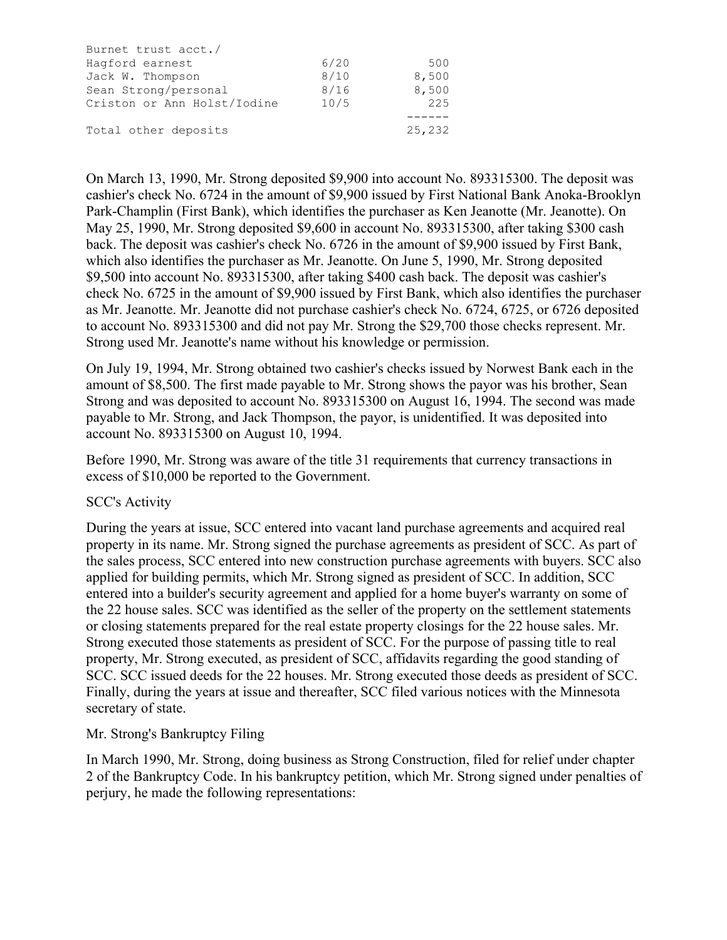| Burnet trust acct./         |      |        |
|-----------------------------|------|--------|
| Hagford earnest             | 6/20 | 500    |
| Jack W. Thompson            | 8/10 | 8,500  |
| Sean Strong/personal        | 8/16 | 8,500  |
| Criston or Ann Holst/Iodine | 10/5 | 225    |
|                             |      |        |
| Total other deposits        |      | 25,232 |

On March 13, 1990, Mr. Strong deposited \$9,900 into account No. 893315300. The deposit was cashier's check No. 6724 in the amount of \$9,900 issued by First National Bank Anoka-Brooklyn Park-Champlin (First Bank), which identifies the purchaser as Ken Jeanotte (Mr. Jeanotte). On May 25, 1990, Mr. Strong deposited \$9,600 in account No. 893315300, after taking \$300 cash back. The deposit was cashier's check No. 6726 in the amount of \$9,900 issued by First Bank, which also identifies the purchaser as Mr. Jeanotte. On June 5, 1990, Mr. Strong deposited \$9,500 into account No. 893315300, after taking \$400 cash back. The deposit was cashier's check No. 6725 in the amount of \$9,900 issued by First Bank, which also identifies the purchaser as Mr. Jeanotte. Mr. Jeanotte did not purchase cashier's check No. 6724, 6725, or 6726 deposited to account No. 893315300 and did not pay Mr. Strong the \$29,700 those checks represent. Mr. Strong used Mr. Jeanotte's name without his knowledge or permission.

On July 19, 1994, Mr. Strong obtained two cashier's checks issued by Norwest Bank each in the amount of \$8,500. The first made payable to Mr. Strong shows the payor was his brother, Sean Strong and was deposited to account No. 893315300 on August 16, 1994. The second was made payable to Mr. Strong, and Jack Thompson, the payor, is unidentified. It was deposited into account No. 893315300 on August 10, 1994.

Before 1990, Mr. Strong was aware of the title 31 requirements that currency transactions in excess of \$10,000 be reported to the Government.

#### SCC's Activity

During the years at issue, SCC entered into vacant land purchase agreements and acquired real property in its name. Mr. Strong signed the purchase agreements as president of SCC. As part of the sales process, SCC entered into new construction purchase agreements with buyers. SCC also applied for building permits, which Mr. Strong signed as president of SCC. In addition, SCC entered into a builder's security agreement and applied for a home buyer's warranty on some of the 22 house sales. SCC was identified as the seller of the property on the settlement statements or closing statements prepared for the real estate property closings for the 22 house sales. Mr. Strong executed those statements as president of SCC. For the purpose of passing title to real property, Mr. Strong executed, as president of SCC, affidavits regarding the good standing of SCC. SCC issued deeds for the 22 houses. Mr. Strong executed those deeds as president of SCC. Finally, during the years at issue and thereafter, SCC filed various notices with the Minnesota secretary of state.

#### Mr. Strong's Bankruptcy Filing

In March 1990, Mr. Strong, doing business as Strong Construction, filed for relief under chapter 2 of the Bankruptcy Code. In his bankruptcy petition, which Mr. Strong signed under penalties of perjury, he made the following representations: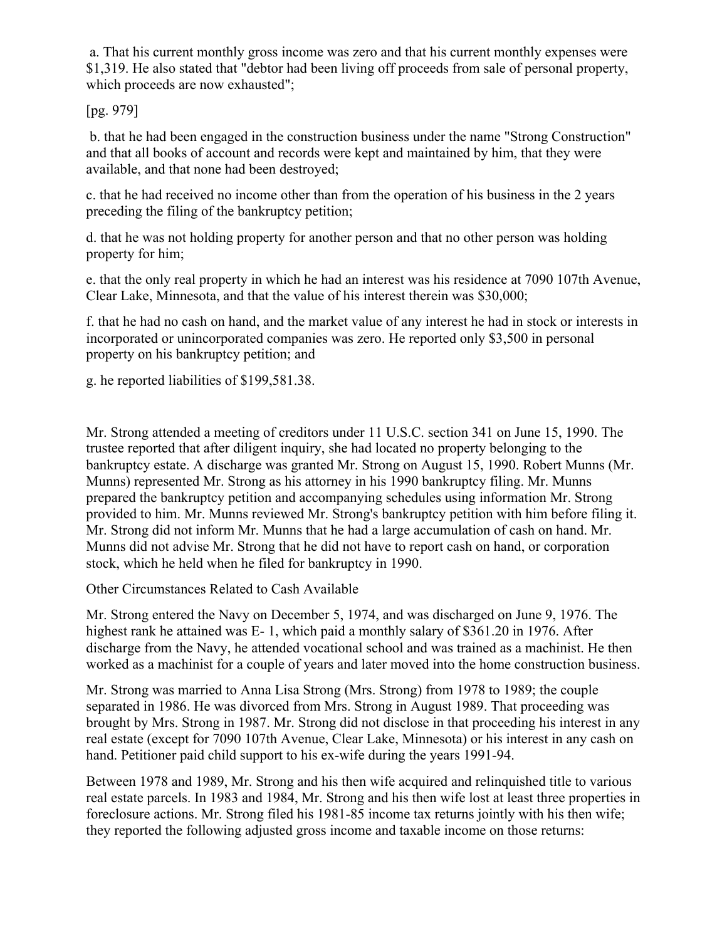a. That his current monthly gross income was zero and that his current monthly expenses were \$1,319. He also stated that "debtor had been living off proceeds from sale of personal property, which proceeds are now exhausted";

# [pg. 979]

b. that he had been engaged in the construction business under the name "Strong Construction" and that all books of account and records were kept and maintained by him, that they were available, and that none had been destroyed;

c. that he had received no income other than from the operation of his business in the 2 years preceding the filing of the bankruptcy petition;

d. that he was not holding property for another person and that no other person was holding property for him;

e. that the only real property in which he had an interest was his residence at 7090 107th Avenue, Clear Lake, Minnesota, and that the value of his interest therein was \$30,000;

f. that he had no cash on hand, and the market value of any interest he had in stock or interests in incorporated or unincorporated companies was zero. He reported only \$3,500 in personal property on his bankruptcy petition; and

g. he reported liabilities of \$199,581.38.

Mr. Strong attended a meeting of creditors under 11 U.S.C. section 341 on June 15, 1990. The trustee reported that after diligent inquiry, she had located no property belonging to the bankruptcy estate. A discharge was granted Mr. Strong on August 15, 1990. Robert Munns (Mr. Munns) represented Mr. Strong as his attorney in his 1990 bankruptcy filing. Mr. Munns prepared the bankruptcy petition and accompanying schedules using information Mr. Strong provided to him. Mr. Munns reviewed Mr. Strong's bankruptcy petition with him before filing it. Mr. Strong did not inform Mr. Munns that he had a large accumulation of cash on hand. Mr. Munns did not advise Mr. Strong that he did not have to report cash on hand, or corporation stock, which he held when he filed for bankruptcy in 1990.

Other Circumstances Related to Cash Available

Mr. Strong entered the Navy on December 5, 1974, and was discharged on June 9, 1976. The highest rank he attained was E- 1, which paid a monthly salary of \$361.20 in 1976. After discharge from the Navy, he attended vocational school and was trained as a machinist. He then worked as a machinist for a couple of years and later moved into the home construction business.

Mr. Strong was married to Anna Lisa Strong (Mrs. Strong) from 1978 to 1989; the couple separated in 1986. He was divorced from Mrs. Strong in August 1989. That proceeding was brought by Mrs. Strong in 1987. Mr. Strong did not disclose in that proceeding his interest in any real estate (except for 7090 107th Avenue, Clear Lake, Minnesota) or his interest in any cash on hand. Petitioner paid child support to his ex-wife during the years 1991-94.

Between 1978 and 1989, Mr. Strong and his then wife acquired and relinquished title to various real estate parcels. In 1983 and 1984, Mr. Strong and his then wife lost at least three properties in foreclosure actions. Mr. Strong filed his 1981-85 income tax returns jointly with his then wife; they reported the following adjusted gross income and taxable income on those returns: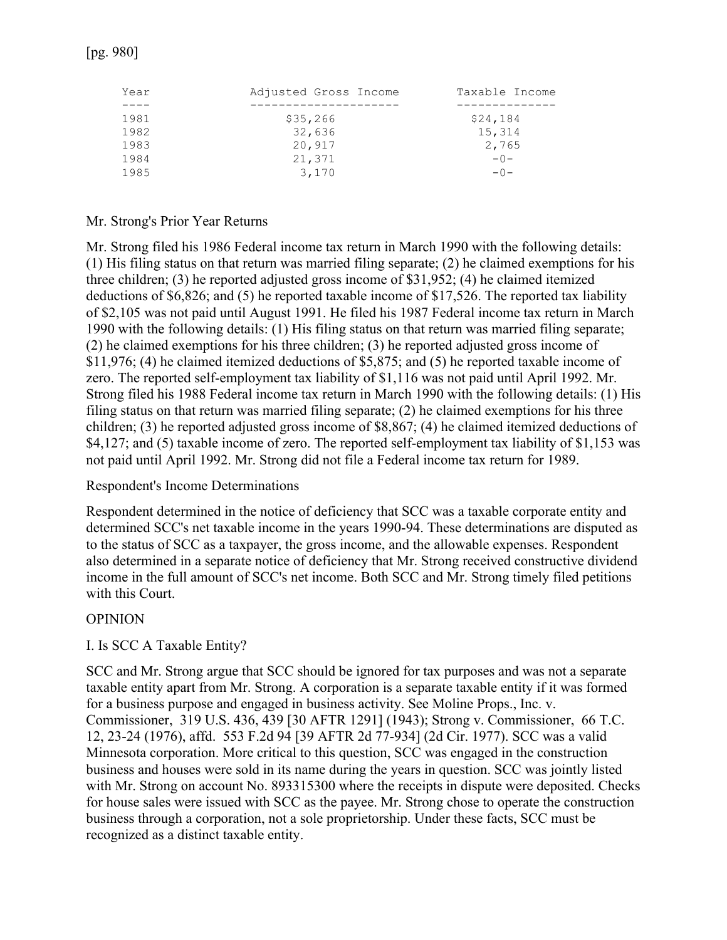| Year | Adjusted Gross Income | Taxable Income |
|------|-----------------------|----------------|
|      |                       |                |
| 1981 | \$35,266              | \$24,184       |
| 1982 | 32,636                | 15,314         |
| 1983 | 20,917                | 2,765          |
| 1984 | 21,371                | $-0-$          |
| 1985 | 3,170                 | $-0-$          |

#### Mr. Strong's Prior Year Returns

Mr. Strong filed his 1986 Federal income tax return in March 1990 with the following details: (1) His filing status on that return was married filing separate; (2) he claimed exemptions for his three children; (3) he reported adjusted gross income of \$31,952; (4) he claimed itemized deductions of \$6,826; and (5) he reported taxable income of \$17,526. The reported tax liability of \$2,105 was not paid until August 1991. He filed his 1987 Federal income tax return in March 1990 with the following details: (1) His filing status on that return was married filing separate; (2) he claimed exemptions for his three children; (3) he reported adjusted gross income of \$11,976; (4) he claimed itemized deductions of \$5,875; and (5) he reported taxable income of zero. The reported self-employment tax liability of \$1,116 was not paid until April 1992. Mr. Strong filed his 1988 Federal income tax return in March 1990 with the following details: (1) His filing status on that return was married filing separate; (2) he claimed exemptions for his three children; (3) he reported adjusted gross income of \$8,867; (4) he claimed itemized deductions of \$4,127; and (5) taxable income of zero. The reported self-employment tax liability of \$1,153 was not paid until April 1992. Mr. Strong did not file a Federal income tax return for 1989.

#### Respondent's Income Determinations

Respondent determined in the notice of deficiency that SCC was a taxable corporate entity and determined SCC's net taxable income in the years 1990-94. These determinations are disputed as to the status of SCC as a taxpayer, the gross income, and the allowable expenses. Respondent also determined in a separate notice of deficiency that Mr. Strong received constructive dividend income in the full amount of SCC's net income. Both SCC and Mr. Strong timely filed petitions with this Court.

#### OPINION

## I. Is SCC A Taxable Entity?

SCC and Mr. Strong argue that SCC should be ignored for tax purposes and was not a separate taxable entity apart from Mr. Strong. A corporation is a separate taxable entity if it was formed for a business purpose and engaged in business activity. See Moline Props., Inc. v. Commissioner, 319 U.S. 436, 439 [30 AFTR 1291] (1943); Strong v. Commissioner, 66 T.C. 12, 23-24 (1976), affd. 553 F.2d 94 [39 AFTR 2d 77-934] (2d Cir. 1977). SCC was a valid Minnesota corporation. More critical to this question, SCC was engaged in the construction business and houses were sold in its name during the years in question. SCC was jointly listed with Mr. Strong on account No. 893315300 where the receipts in dispute were deposited. Checks for house sales were issued with SCC as the payee. Mr. Strong chose to operate the construction business through a corporation, not a sole proprietorship. Under these facts, SCC must be recognized as a distinct taxable entity.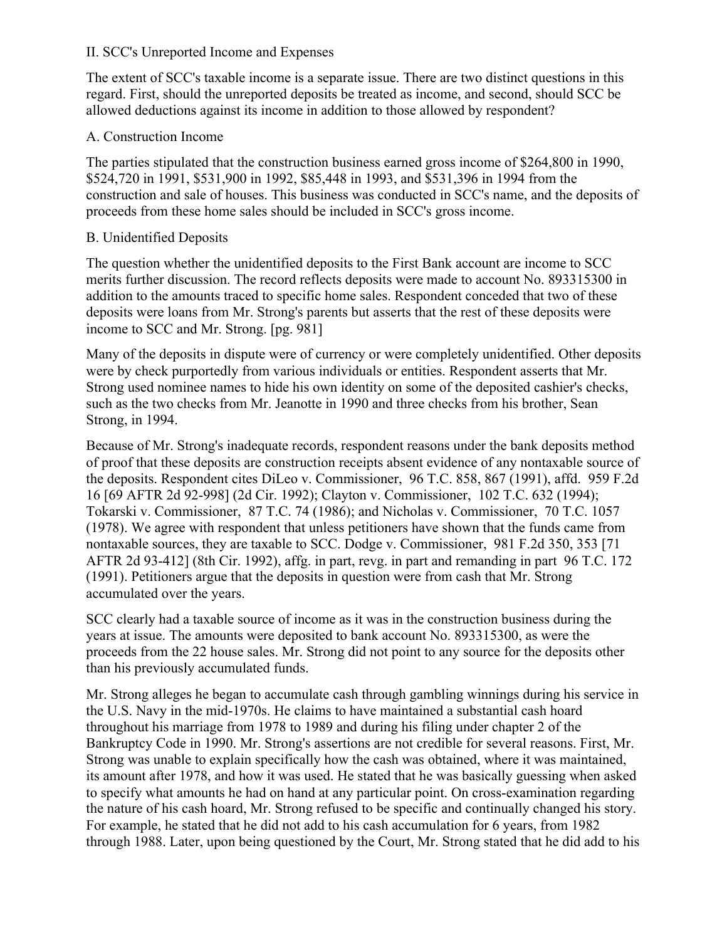#### II. SCC's Unreported Income and Expenses

The extent of SCC's taxable income is a separate issue. There are two distinct questions in this regard. First, should the unreported deposits be treated as income, and second, should SCC be allowed deductions against its income in addition to those allowed by respondent?

### A. Construction Income

The parties stipulated that the construction business earned gross income of \$264,800 in 1990, \$524,720 in 1991, \$531,900 in 1992, \$85,448 in 1993, and \$531,396 in 1994 from the construction and sale of houses. This business was conducted in SCC's name, and the deposits of proceeds from these home sales should be included in SCC's gross income.

### B. Unidentified Deposits

The question whether the unidentified deposits to the First Bank account are income to SCC merits further discussion. The record reflects deposits were made to account No. 893315300 in addition to the amounts traced to specific home sales. Respondent conceded that two of these deposits were loans from Mr. Strong's parents but asserts that the rest of these deposits were income to SCC and Mr. Strong. [pg. 981]

Many of the deposits in dispute were of currency or were completely unidentified. Other deposits were by check purportedly from various individuals or entities. Respondent asserts that Mr. Strong used nominee names to hide his own identity on some of the deposited cashier's checks, such as the two checks from Mr. Jeanotte in 1990 and three checks from his brother, Sean Strong, in 1994.

Because of Mr. Strong's inadequate records, respondent reasons under the bank deposits method of proof that these deposits are construction receipts absent evidence of any nontaxable source of the deposits. Respondent cites DiLeo v. Commissioner, 96 T.C. 858, 867 (1991), affd. 959 F.2d 16 [69 AFTR 2d 92-998] (2d Cir. 1992); Clayton v. Commissioner, 102 T.C. 632 (1994); Tokarski v. Commissioner, 87 T.C. 74 (1986); and Nicholas v. Commissioner, 70 T.C. 1057 (1978). We agree with respondent that unless petitioners have shown that the funds came from nontaxable sources, they are taxable to SCC. Dodge v. Commissioner, 981 F.2d 350, 353 [71 AFTR 2d 93-412] (8th Cir. 1992), affg. in part, revg. in part and remanding in part 96 T.C. 172 (1991). Petitioners argue that the deposits in question were from cash that Mr. Strong accumulated over the years.

SCC clearly had a taxable source of income as it was in the construction business during the years at issue. The amounts were deposited to bank account No. 893315300, as were the proceeds from the 22 house sales. Mr. Strong did not point to any source for the deposits other than his previously accumulated funds.

Mr. Strong alleges he began to accumulate cash through gambling winnings during his service in the U.S. Navy in the mid-1970s. He claims to have maintained a substantial cash hoard throughout his marriage from 1978 to 1989 and during his filing under chapter 2 of the Bankruptcy Code in 1990. Mr. Strong's assertions are not credible for several reasons. First, Mr. Strong was unable to explain specifically how the cash was obtained, where it was maintained, its amount after 1978, and how it was used. He stated that he was basically guessing when asked to specify what amounts he had on hand at any particular point. On cross-examination regarding the nature of his cash hoard, Mr. Strong refused to be specific and continually changed his story. For example, he stated that he did not add to his cash accumulation for 6 years, from 1982 through 1988. Later, upon being questioned by the Court, Mr. Strong stated that he did add to his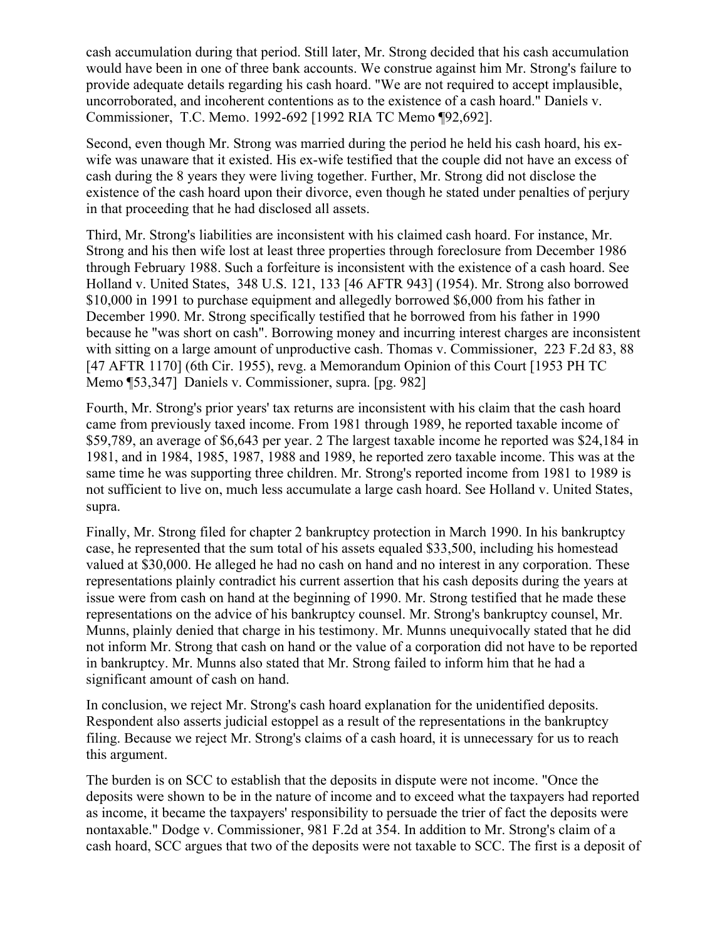cash accumulation during that period. Still later, Mr. Strong decided that his cash accumulation would have been in one of three bank accounts. We construe against him Mr. Strong's failure to provide adequate details regarding his cash hoard. "We are not required to accept implausible, uncorroborated, and incoherent contentions as to the existence of a cash hoard." Daniels v. Commissioner, T.C. Memo. 1992-692 [1992 RIA TC Memo ¶92,692].

Second, even though Mr. Strong was married during the period he held his cash hoard, his exwife was unaware that it existed. His ex-wife testified that the couple did not have an excess of cash during the 8 years they were living together. Further, Mr. Strong did not disclose the existence of the cash hoard upon their divorce, even though he stated under penalties of perjury in that proceeding that he had disclosed all assets.

Third, Mr. Strong's liabilities are inconsistent with his claimed cash hoard. For instance, Mr. Strong and his then wife lost at least three properties through foreclosure from December 1986 through February 1988. Such a forfeiture is inconsistent with the existence of a cash hoard. See Holland v. United States, 348 U.S. 121, 133 [46 AFTR 943] (1954). Mr. Strong also borrowed \$10,000 in 1991 to purchase equipment and allegedly borrowed \$6,000 from his father in December 1990. Mr. Strong specifically testified that he borrowed from his father in 1990 because he "was short on cash". Borrowing money and incurring interest charges are inconsistent with sitting on a large amount of unproductive cash. Thomas v. Commissioner, 223 F.2d 83, 88 [47 AFTR 1170] (6th Cir. 1955), revg. a Memorandum Opinion of this Court [1953 PH TC Memo ¶53,347] Daniels v. Commissioner, supra. [pg. 982]

Fourth, Mr. Strong's prior years' tax returns are inconsistent with his claim that the cash hoard came from previously taxed income. From 1981 through 1989, he reported taxable income of \$59,789, an average of \$6,643 per year. 2 The largest taxable income he reported was \$24,184 in 1981, and in 1984, 1985, 1987, 1988 and 1989, he reported zero taxable income. This was at the same time he was supporting three children. Mr. Strong's reported income from 1981 to 1989 is not sufficient to live on, much less accumulate a large cash hoard. See Holland v. United States, supra.

Finally, Mr. Strong filed for chapter 2 bankruptcy protection in March 1990. In his bankruptcy case, he represented that the sum total of his assets equaled \$33,500, including his homestead valued at \$30,000. He alleged he had no cash on hand and no interest in any corporation. These representations plainly contradict his current assertion that his cash deposits during the years at issue were from cash on hand at the beginning of 1990. Mr. Strong testified that he made these representations on the advice of his bankruptcy counsel. Mr. Strong's bankruptcy counsel, Mr. Munns, plainly denied that charge in his testimony. Mr. Munns unequivocally stated that he did not inform Mr. Strong that cash on hand or the value of a corporation did not have to be reported in bankruptcy. Mr. Munns also stated that Mr. Strong failed to inform him that he had a significant amount of cash on hand.

In conclusion, we reject Mr. Strong's cash hoard explanation for the unidentified deposits. Respondent also asserts judicial estoppel as a result of the representations in the bankruptcy filing. Because we reject Mr. Strong's claims of a cash hoard, it is unnecessary for us to reach this argument.

The burden is on SCC to establish that the deposits in dispute were not income. "Once the deposits were shown to be in the nature of income and to exceed what the taxpayers had reported as income, it became the taxpayers' responsibility to persuade the trier of fact the deposits were nontaxable." Dodge v. Commissioner, 981 F.2d at 354. In addition to Mr. Strong's claim of a cash hoard, SCC argues that two of the deposits were not taxable to SCC. The first is a deposit of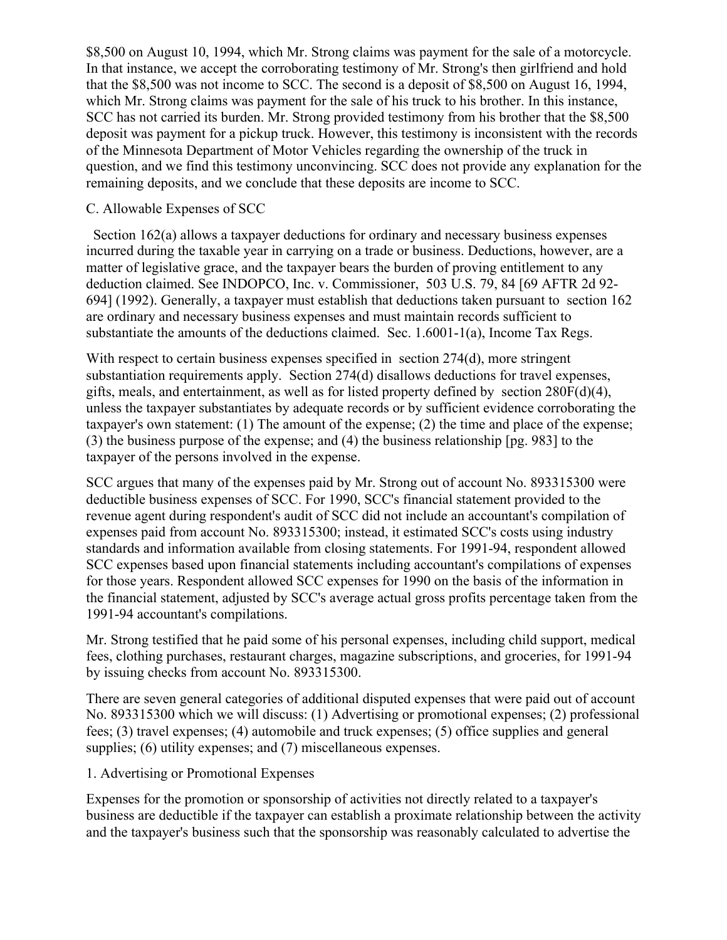\$8,500 on August 10, 1994, which Mr. Strong claims was payment for the sale of a motorcycle. In that instance, we accept the corroborating testimony of Mr. Strong's then girlfriend and hold that the \$8,500 was not income to SCC. The second is a deposit of \$8,500 on August 16, 1994, which Mr. Strong claims was payment for the sale of his truck to his brother. In this instance, SCC has not carried its burden. Mr. Strong provided testimony from his brother that the \$8,500 deposit was payment for a pickup truck. However, this testimony is inconsistent with the records of the Minnesota Department of Motor Vehicles regarding the ownership of the truck in question, and we find this testimony unconvincing. SCC does not provide any explanation for the remaining deposits, and we conclude that these deposits are income to SCC.

### C. Allowable Expenses of SCC

 Section 162(a) allows a taxpayer deductions for ordinary and necessary business expenses incurred during the taxable year in carrying on a trade or business. Deductions, however, are a matter of legislative grace, and the taxpayer bears the burden of proving entitlement to any deduction claimed. See INDOPCO, Inc. v. Commissioner, 503 U.S. 79, 84 [69 AFTR 2d 92- 694] (1992). Generally, a taxpayer must establish that deductions taken pursuant to section 162 are ordinary and necessary business expenses and must maintain records sufficient to substantiate the amounts of the deductions claimed. Sec. 1.6001-1(a), Income Tax Regs.

With respect to certain business expenses specified in section 274(d), more stringent substantiation requirements apply. Section 274(d) disallows deductions for travel expenses, gifts, meals, and entertainment, as well as for listed property defined by section 280F(d)(4), unless the taxpayer substantiates by adequate records or by sufficient evidence corroborating the taxpayer's own statement: (1) The amount of the expense; (2) the time and place of the expense; (3) the business purpose of the expense; and (4) the business relationship [pg. 983] to the taxpayer of the persons involved in the expense.

SCC argues that many of the expenses paid by Mr. Strong out of account No. 893315300 were deductible business expenses of SCC. For 1990, SCC's financial statement provided to the revenue agent during respondent's audit of SCC did not include an accountant's compilation of expenses paid from account No. 893315300; instead, it estimated SCC's costs using industry standards and information available from closing statements. For 1991-94, respondent allowed SCC expenses based upon financial statements including accountant's compilations of expenses for those years. Respondent allowed SCC expenses for 1990 on the basis of the information in the financial statement, adjusted by SCC's average actual gross profits percentage taken from the 1991-94 accountant's compilations.

Mr. Strong testified that he paid some of his personal expenses, including child support, medical fees, clothing purchases, restaurant charges, magazine subscriptions, and groceries, for 1991-94 by issuing checks from account No. 893315300.

There are seven general categories of additional disputed expenses that were paid out of account No. 893315300 which we will discuss: (1) Advertising or promotional expenses; (2) professional fees; (3) travel expenses; (4) automobile and truck expenses; (5) office supplies and general supplies; (6) utility expenses; and (7) miscellaneous expenses.

#### 1. Advertising or Promotional Expenses

Expenses for the promotion or sponsorship of activities not directly related to a taxpayer's business are deductible if the taxpayer can establish a proximate relationship between the activity and the taxpayer's business such that the sponsorship was reasonably calculated to advertise the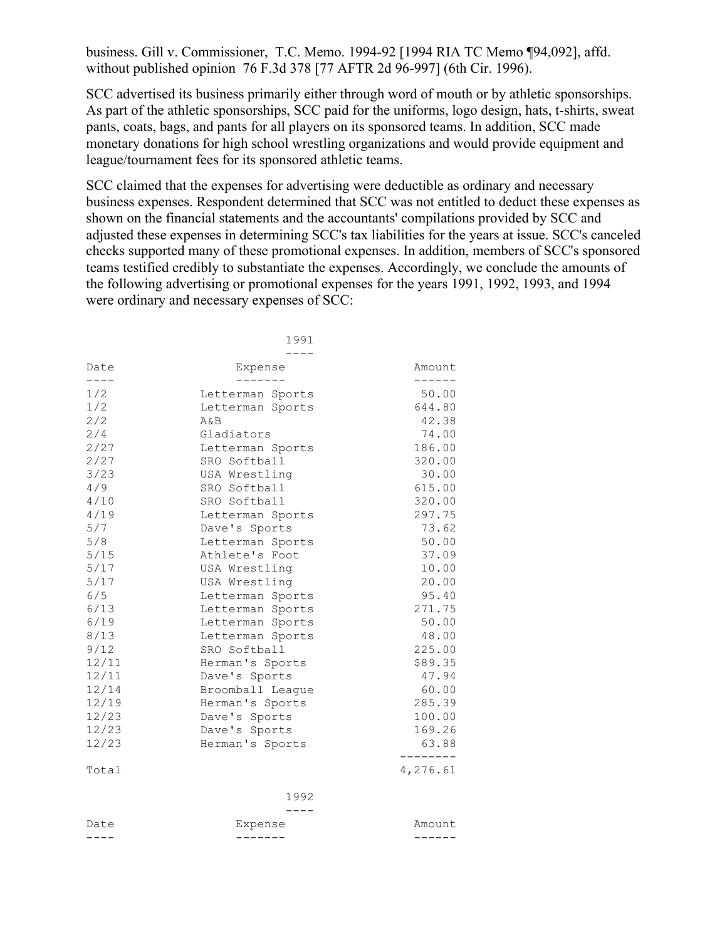business. Gill v. Commissioner, T.C. Memo. 1994-92 [1994 RIA TC Memo ¶94,092], affd. without published opinion 76 F.3d 378 [77 AFTR 2d 96-997] (6th Cir. 1996).

SCC advertised its business primarily either through word of mouth or by athletic sponsorships. As part of the athletic sponsorships, SCC paid for the uniforms, logo design, hats, t-shirts, sweat pants, coats, bags, and pants for all players on its sponsored teams. In addition, SCC made monetary donations for high school wrestling organizations and would provide equipment and league/tournament fees for its sponsored athletic teams.

SCC claimed that the expenses for advertising were deductible as ordinary and necessary business expenses. Respondent determined that SCC was not entitled to deduct these expenses as shown on the financial statements and the accountants' compilations provided by SCC and adjusted these expenses in determining SCC's tax liabilities for the years at issue. SCC's canceled checks supported many of these promotional expenses. In addition, members of SCC's sponsored teams testified credibly to substantiate the expenses. Accordingly, we conclude the amounts of the following advertising or promotional expenses for the years 1991, 1992, 1993, and 1994 were ordinary and necessary expenses of SCC:

|              | 1991             |                  |
|--------------|------------------|------------------|
|              |                  |                  |
| Date<br>---- | Expense          | Amount<br>------ |
| 1/2          | Letterman Sports | 50.00            |
| 1/2          | Letterman Sports | 644.80           |
| 2/2          | A&B              | 42.38            |
| 2/4          | Gladiators       | 74.00            |
| 2/27         | Letterman Sports | 186.00           |
| 2/27         | SRO Softball     | 320.00           |
| 3/23         | USA Wrestling    | 30.00            |
| 4/9          | SRO Softball     | 615.00           |
| 4/10         | SRO Softball     | 320.00           |
| 4/19         | Letterman Sports | 297.75           |
| 5/7          | Dave's Sports    | 73.62            |
| 5/8          | Letterman Sports | 50.00            |
| 5/15         | Athlete's Foot   | 37.09            |
| 5/17         | USA Wrestling    | 10.00            |
| 5/17         | USA Wrestling    | 20.00            |
| 6/5          | Letterman Sports | 95.40            |
| 6/13         | Letterman Sports | 271.75           |
| 6/19         | Letterman Sports | 50.00            |
| 8/13         | Letterman Sports | 48.00            |
| 9/12         | SRO Softball     | 225.00           |
| 12/11        | Herman's Sports  | \$89.35          |
| 12/11        | Dave's Sports    | 47.94            |
| 12/14        | Broomball League | 60.00            |
| 12/19        | Herman's Sports  | 285.39           |
| 12/23        | Dave's Sports    | 100.00           |
| 12/23        | Dave's Sports    | 169.26           |
| 12/23        | Herman's Sports  | 63.88            |
| Total        |                  | 4,276.61         |
|              | 1992             |                  |
|              |                  |                  |
| Date         | Expense          | Amount           |
|              |                  |                  |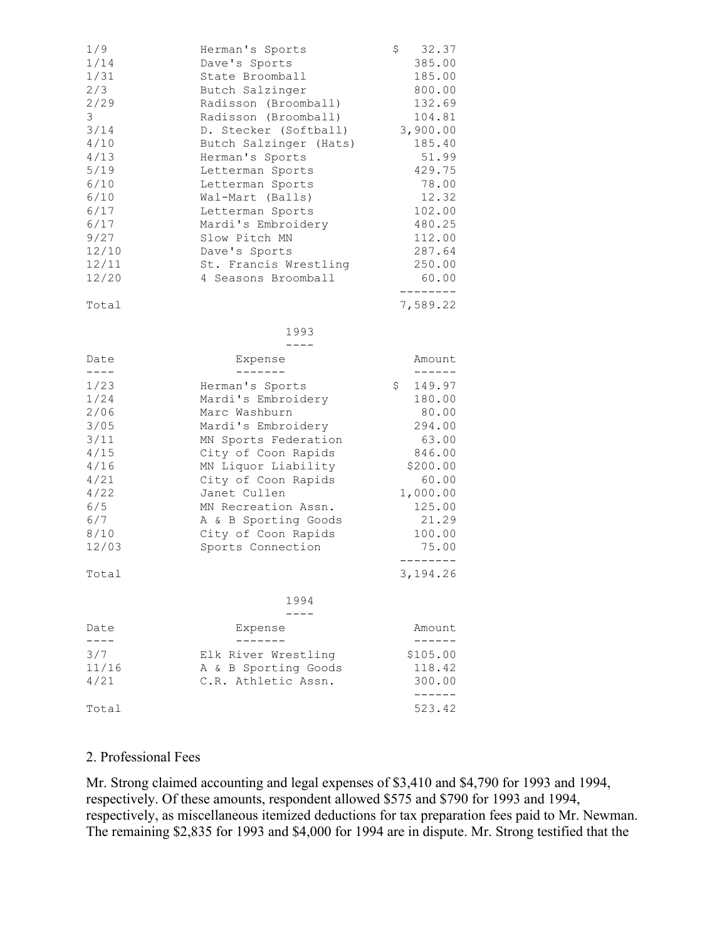| 1/9<br>1/14<br>1/31<br>2/3<br>2/29<br>3<br>3/14<br>4/10<br>4/13<br>5/19<br>6/10<br>6/10<br>6/17<br>6/17<br>9/27<br>12/10<br>12/11 | Herman's Sports<br>Dave's Sports<br>State Broomball<br>Butch Salzinger<br>Radisson (Broomball)<br>Radisson (Broomball)<br>D. Stecker (Softball)<br>Butch Salzinger (Hats)<br>Herman's Sports<br>Letterman Sports<br>Letterman Sports<br>Wal-Mart (Balls)<br>Letterman Sports<br>Mardi's Embroidery<br>Slow Pitch MN<br>Dave's Sports<br>St. Francis Wrestling | 32.37<br>\$<br>385.00<br>185.00<br>800.00<br>132.69<br>104.81<br>3,900.00<br>185.40<br>51.99<br>429.75<br>78.00<br>12.32<br>102.00<br>480.25<br>112.00<br>287.64<br>250.00 |
|-----------------------------------------------------------------------------------------------------------------------------------|---------------------------------------------------------------------------------------------------------------------------------------------------------------------------------------------------------------------------------------------------------------------------------------------------------------------------------------------------------------|----------------------------------------------------------------------------------------------------------------------------------------------------------------------------|
| 12/20                                                                                                                             | 4 Seasons Broomball                                                                                                                                                                                                                                                                                                                                           | 60.00<br>--------                                                                                                                                                          |
| Total                                                                                                                             |                                                                                                                                                                                                                                                                                                                                                               | 7,589.22                                                                                                                                                                   |
|                                                                                                                                   | 1993                                                                                                                                                                                                                                                                                                                                                          |                                                                                                                                                                            |
| Date                                                                                                                              | Expense                                                                                                                                                                                                                                                                                                                                                       | Amount                                                                                                                                                                     |
| ----                                                                                                                              | -------                                                                                                                                                                                                                                                                                                                                                       | ------                                                                                                                                                                     |
| 1/23<br>1/24<br>2/06<br>3/05<br>3/11<br>4/15<br>4/16<br>4/21<br>4/22<br>6/5<br>6/7<br>8/10<br>12/03<br>Total                      | Herman's Sports<br>Mardi's Embroidery<br>Marc Washburn<br>Mardi's Embroidery<br>MN Sports Federation<br>City of Coon Rapids<br>MN Liquor Liability<br>City of Coon Rapids<br>Janet Cullen<br>MN Recreation Assn.<br>A & B Sporting Goods<br>City of Coon Rapids<br>Sports Connection                                                                          | \$<br>149.97<br>180.00<br>80.00<br>294.00<br>63.00<br>846.00<br>\$200.00<br>60.00<br>1,000.00<br>125.00<br>21.29<br>100.00<br>75.00<br>--------<br>3,194.26                |
|                                                                                                                                   | 1994                                                                                                                                                                                                                                                                                                                                                          |                                                                                                                                                                            |
|                                                                                                                                   |                                                                                                                                                                                                                                                                                                                                                               |                                                                                                                                                                            |
| Date<br>3/7<br>11/16<br>4/21<br>Total                                                                                             | Expense<br>Elk River Wrestling<br>A & B Sporting Goods<br>C.R. Athletic Assn.                                                                                                                                                                                                                                                                                 | Amount<br>\$105.00<br>118.42<br>300.00<br>-----<br>523.42                                                                                                                  |

#### 2. Professional Fees

Mr. Strong claimed accounting and legal expenses of \$3,410 and \$4,790 for 1993 and 1994, respectively. Of these amounts, respondent allowed \$575 and \$790 for 1993 and 1994, respectively, as miscellaneous itemized deductions for tax preparation fees paid to Mr. Newman. The remaining \$2,835 for 1993 and \$4,000 for 1994 are in dispute. Mr. Strong testified that the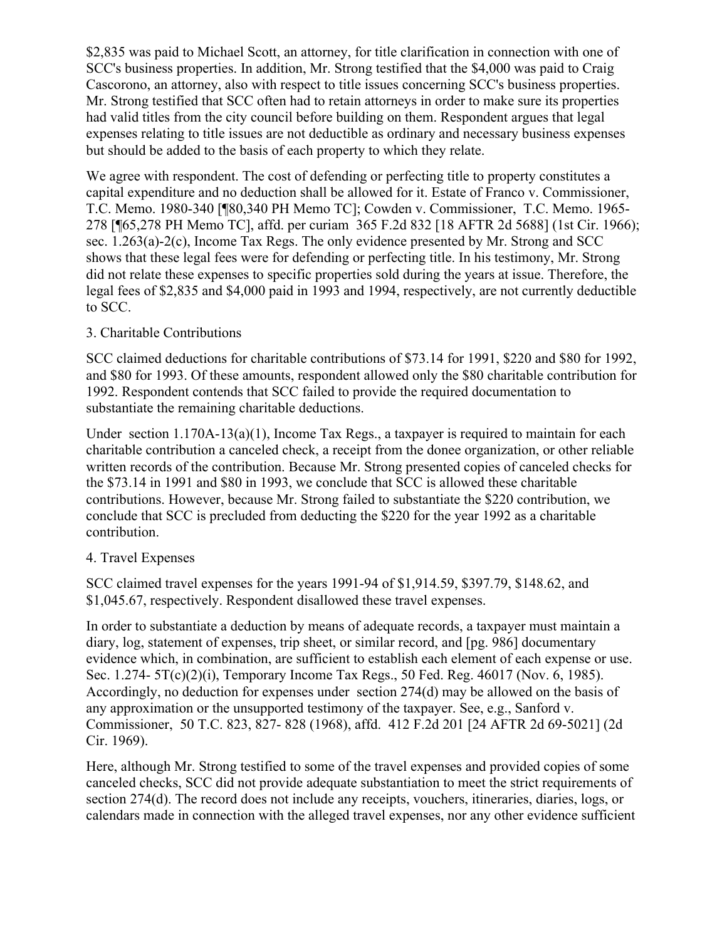\$2,835 was paid to Michael Scott, an attorney, for title clarification in connection with one of SCC's business properties. In addition, Mr. Strong testified that the \$4,000 was paid to Craig Cascorono, an attorney, also with respect to title issues concerning SCC's business properties. Mr. Strong testified that SCC often had to retain attorneys in order to make sure its properties had valid titles from the city council before building on them. Respondent argues that legal expenses relating to title issues are not deductible as ordinary and necessary business expenses but should be added to the basis of each property to which they relate.

We agree with respondent. The cost of defending or perfecting title to property constitutes a capital expenditure and no deduction shall be allowed for it. Estate of Franco v. Commissioner, T.C. Memo. 1980-340 [¶80,340 PH Memo TC]; Cowden v. Commissioner, T.C. Memo. 1965- 278 [¶65,278 PH Memo TC], affd. per curiam 365 F.2d 832 [18 AFTR 2d 5688] (1st Cir. 1966); sec. 1.263(a)-2(c), Income Tax Regs. The only evidence presented by Mr. Strong and SCC shows that these legal fees were for defending or perfecting title. In his testimony, Mr. Strong did not relate these expenses to specific properties sold during the years at issue. Therefore, the legal fees of \$2,835 and \$4,000 paid in 1993 and 1994, respectively, are not currently deductible to SCC.

## 3. Charitable Contributions

SCC claimed deductions for charitable contributions of \$73.14 for 1991, \$220 and \$80 for 1992, and \$80 for 1993. Of these amounts, respondent allowed only the \$80 charitable contribution for 1992. Respondent contends that SCC failed to provide the required documentation to substantiate the remaining charitable deductions.

Under section 1.170A-13(a)(1), Income Tax Regs., a taxpayer is required to maintain for each charitable contribution a canceled check, a receipt from the donee organization, or other reliable written records of the contribution. Because Mr. Strong presented copies of canceled checks for the \$73.14 in 1991 and \$80 in 1993, we conclude that SCC is allowed these charitable contributions. However, because Mr. Strong failed to substantiate the \$220 contribution, we conclude that SCC is precluded from deducting the \$220 for the year 1992 as a charitable contribution.

# 4. Travel Expenses

SCC claimed travel expenses for the years 1991-94 of \$1,914.59, \$397.79, \$148.62, and \$1,045.67, respectively. Respondent disallowed these travel expenses.

In order to substantiate a deduction by means of adequate records, a taxpayer must maintain a diary, log, statement of expenses, trip sheet, or similar record, and [pg. 986] documentary evidence which, in combination, are sufficient to establish each element of each expense or use. Sec. 1.274- 5T(c)(2)(i), Temporary Income Tax Regs., 50 Fed. Reg. 46017 (Nov. 6, 1985). Accordingly, no deduction for expenses under section 274(d) may be allowed on the basis of any approximation or the unsupported testimony of the taxpayer. See, e.g., Sanford v. Commissioner, 50 T.C. 823, 827- 828 (1968), affd. 412 F.2d 201 [24 AFTR 2d 69-5021] (2d Cir. 1969).

Here, although Mr. Strong testified to some of the travel expenses and provided copies of some canceled checks, SCC did not provide adequate substantiation to meet the strict requirements of section 274(d). The record does not include any receipts, vouchers, itineraries, diaries, logs, or calendars made in connection with the alleged travel expenses, nor any other evidence sufficient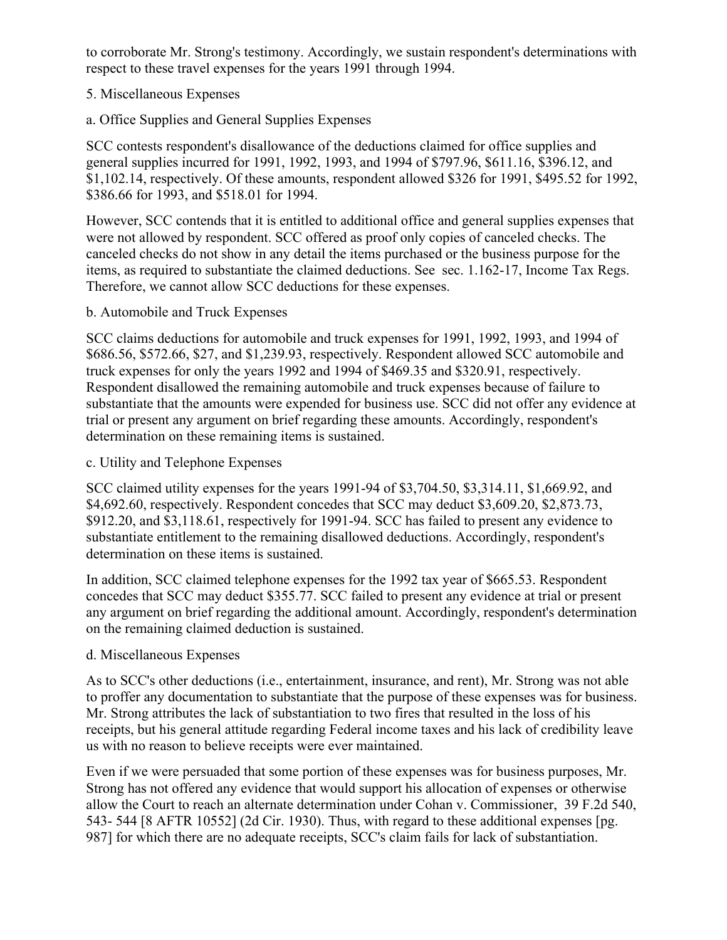to corroborate Mr. Strong's testimony. Accordingly, we sustain respondent's determinations with respect to these travel expenses for the years 1991 through 1994.

## 5. Miscellaneous Expenses

a. Office Supplies and General Supplies Expenses

SCC contests respondent's disallowance of the deductions claimed for office supplies and general supplies incurred for 1991, 1992, 1993, and 1994 of \$797.96, \$611.16, \$396.12, and \$1,102.14, respectively. Of these amounts, respondent allowed \$326 for 1991, \$495.52 for 1992, \$386.66 for 1993, and \$518.01 for 1994.

However, SCC contends that it is entitled to additional office and general supplies expenses that were not allowed by respondent. SCC offered as proof only copies of canceled checks. The canceled checks do not show in any detail the items purchased or the business purpose for the items, as required to substantiate the claimed deductions. See sec. 1.162-17, Income Tax Regs. Therefore, we cannot allow SCC deductions for these expenses.

## b. Automobile and Truck Expenses

SCC claims deductions for automobile and truck expenses for 1991, 1992, 1993, and 1994 of \$686.56, \$572.66, \$27, and \$1,239.93, respectively. Respondent allowed SCC automobile and truck expenses for only the years 1992 and 1994 of \$469.35 and \$320.91, respectively. Respondent disallowed the remaining automobile and truck expenses because of failure to substantiate that the amounts were expended for business use. SCC did not offer any evidence at trial or present any argument on brief regarding these amounts. Accordingly, respondent's determination on these remaining items is sustained.

## c. Utility and Telephone Expenses

SCC claimed utility expenses for the years 1991-94 of \$3,704.50, \$3,314.11, \$1,669.92, and \$4,692.60, respectively. Respondent concedes that SCC may deduct \$3,609.20, \$2,873.73, \$912.20, and \$3,118.61, respectively for 1991-94. SCC has failed to present any evidence to substantiate entitlement to the remaining disallowed deductions. Accordingly, respondent's determination on these items is sustained.

In addition, SCC claimed telephone expenses for the 1992 tax year of \$665.53. Respondent concedes that SCC may deduct \$355.77. SCC failed to present any evidence at trial or present any argument on brief regarding the additional amount. Accordingly, respondent's determination on the remaining claimed deduction is sustained.

# d. Miscellaneous Expenses

As to SCC's other deductions (i.e., entertainment, insurance, and rent), Mr. Strong was not able to proffer any documentation to substantiate that the purpose of these expenses was for business. Mr. Strong attributes the lack of substantiation to two fires that resulted in the loss of his receipts, but his general attitude regarding Federal income taxes and his lack of credibility leave us with no reason to believe receipts were ever maintained.

Even if we were persuaded that some portion of these expenses was for business purposes, Mr. Strong has not offered any evidence that would support his allocation of expenses or otherwise allow the Court to reach an alternate determination under Cohan v. Commissioner, 39 F.2d 540, 543- 544 [8 AFTR 10552] (2d Cir. 1930). Thus, with regard to these additional expenses [pg. 987] for which there are no adequate receipts, SCC's claim fails for lack of substantiation.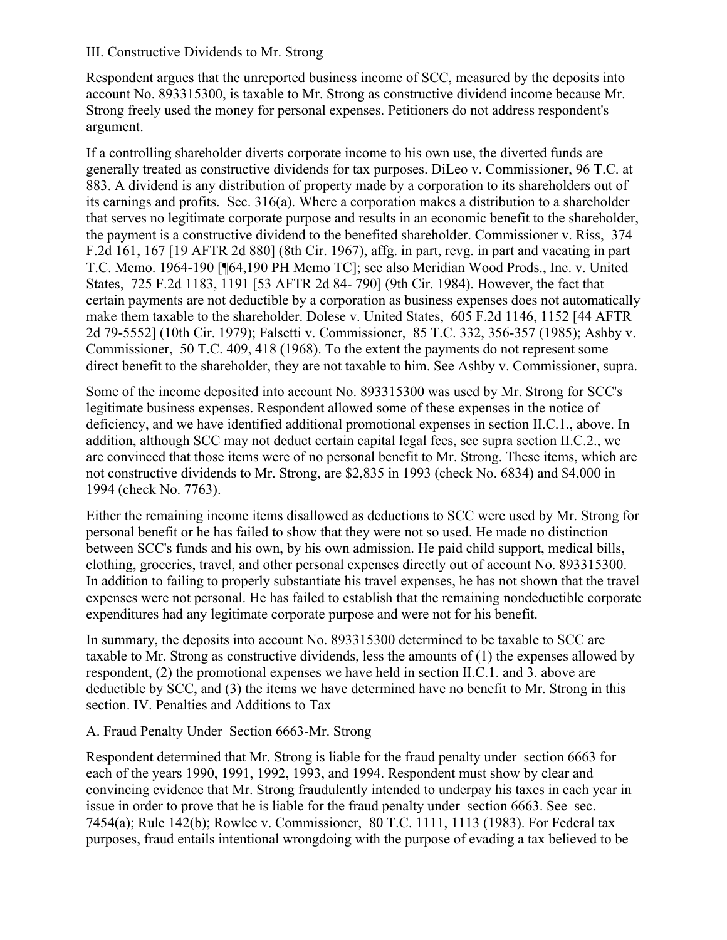#### III. Constructive Dividends to Mr. Strong

Respondent argues that the unreported business income of SCC, measured by the deposits into account No. 893315300, is taxable to Mr. Strong as constructive dividend income because Mr. Strong freely used the money for personal expenses. Petitioners do not address respondent's argument.

If a controlling shareholder diverts corporate income to his own use, the diverted funds are generally treated as constructive dividends for tax purposes. DiLeo v. Commissioner, 96 T.C. at 883. A dividend is any distribution of property made by a corporation to its shareholders out of its earnings and profits. Sec. 316(a). Where a corporation makes a distribution to a shareholder that serves no legitimate corporate purpose and results in an economic benefit to the shareholder, the payment is a constructive dividend to the benefited shareholder. Commissioner v. Riss, 374 F.2d 161, 167 [19 AFTR 2d 880] (8th Cir. 1967), affg. in part, revg. in part and vacating in part T.C. Memo. 1964-190 [¶64,190 PH Memo TC]; see also Meridian Wood Prods., Inc. v. United States, 725 F.2d 1183, 1191 [53 AFTR 2d 84- 790] (9th Cir. 1984). However, the fact that certain payments are not deductible by a corporation as business expenses does not automatically make them taxable to the shareholder. Dolese v. United States, 605 F.2d 1146, 1152 [44 AFTR 2d 79-5552] (10th Cir. 1979); Falsetti v. Commissioner, 85 T.C. 332, 356-357 (1985); Ashby v. Commissioner, 50 T.C. 409, 418 (1968). To the extent the payments do not represent some direct benefit to the shareholder, they are not taxable to him. See Ashby v. Commissioner, supra.

Some of the income deposited into account No. 893315300 was used by Mr. Strong for SCC's legitimate business expenses. Respondent allowed some of these expenses in the notice of deficiency, and we have identified additional promotional expenses in section II.C.1., above. In addition, although SCC may not deduct certain capital legal fees, see supra section II.C.2., we are convinced that those items were of no personal benefit to Mr. Strong. These items, which are not constructive dividends to Mr. Strong, are \$2,835 in 1993 (check No. 6834) and \$4,000 in 1994 (check No. 7763).

Either the remaining income items disallowed as deductions to SCC were used by Mr. Strong for personal benefit or he has failed to show that they were not so used. He made no distinction between SCC's funds and his own, by his own admission. He paid child support, medical bills, clothing, groceries, travel, and other personal expenses directly out of account No. 893315300. In addition to failing to properly substantiate his travel expenses, he has not shown that the travel expenses were not personal. He has failed to establish that the remaining nondeductible corporate expenditures had any legitimate corporate purpose and were not for his benefit.

In summary, the deposits into account No. 893315300 determined to be taxable to SCC are taxable to Mr. Strong as constructive dividends, less the amounts of (1) the expenses allowed by respondent, (2) the promotional expenses we have held in section II.C.1. and 3. above are deductible by SCC, and (3) the items we have determined have no benefit to Mr. Strong in this section. IV. Penalties and Additions to Tax

## A. Fraud Penalty Under Section 6663-Mr. Strong

Respondent determined that Mr. Strong is liable for the fraud penalty under section 6663 for each of the years 1990, 1991, 1992, 1993, and 1994. Respondent must show by clear and convincing evidence that Mr. Strong fraudulently intended to underpay his taxes in each year in issue in order to prove that he is liable for the fraud penalty under section 6663. See sec. 7454(a); Rule 142(b); Rowlee v. Commissioner, 80 T.C. 1111, 1113 (1983). For Federal tax purposes, fraud entails intentional wrongdoing with the purpose of evading a tax believed to be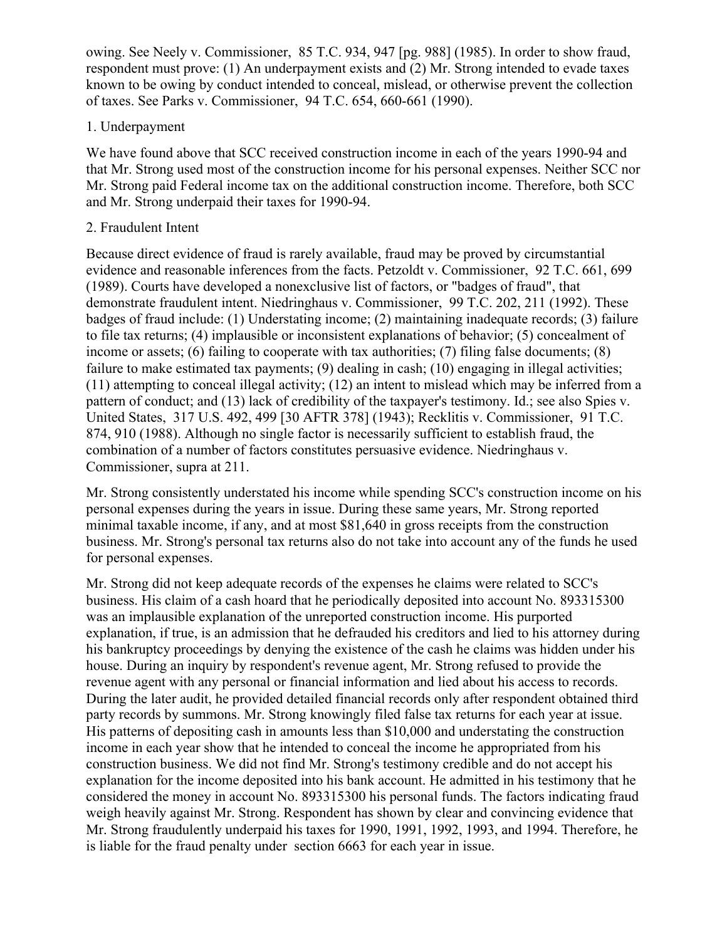owing. See Neely v. Commissioner, 85 T.C. 934, 947 [pg. 988] (1985). In order to show fraud, respondent must prove: (1) An underpayment exists and (2) Mr. Strong intended to evade taxes known to be owing by conduct intended to conceal, mislead, or otherwise prevent the collection of taxes. See Parks v. Commissioner, 94 T.C. 654, 660-661 (1990).

### 1. Underpayment

We have found above that SCC received construction income in each of the years 1990-94 and that Mr. Strong used most of the construction income for his personal expenses. Neither SCC nor Mr. Strong paid Federal income tax on the additional construction income. Therefore, both SCC and Mr. Strong underpaid their taxes for 1990-94.

### 2. Fraudulent Intent

Because direct evidence of fraud is rarely available, fraud may be proved by circumstantial evidence and reasonable inferences from the facts. Petzoldt v. Commissioner, 92 T.C. 661, 699 (1989). Courts have developed a nonexclusive list of factors, or "badges of fraud", that demonstrate fraudulent intent. Niedringhaus v. Commissioner, 99 T.C. 202, 211 (1992). These badges of fraud include: (1) Understating income; (2) maintaining inadequate records; (3) failure to file tax returns; (4) implausible or inconsistent explanations of behavior; (5) concealment of income or assets; (6) failing to cooperate with tax authorities; (7) filing false documents; (8) failure to make estimated tax payments; (9) dealing in cash; (10) engaging in illegal activities; (11) attempting to conceal illegal activity; (12) an intent to mislead which may be inferred from a pattern of conduct; and (13) lack of credibility of the taxpayer's testimony. Id.; see also Spies v. United States, 317 U.S. 492, 499 [30 AFTR 378] (1943); Recklitis v. Commissioner, 91 T.C. 874, 910 (1988). Although no single factor is necessarily sufficient to establish fraud, the combination of a number of factors constitutes persuasive evidence. Niedringhaus v. Commissioner, supra at 211.

Mr. Strong consistently understated his income while spending SCC's construction income on his personal expenses during the years in issue. During these same years, Mr. Strong reported minimal taxable income, if any, and at most \$81,640 in gross receipts from the construction business. Mr. Strong's personal tax returns also do not take into account any of the funds he used for personal expenses.

Mr. Strong did not keep adequate records of the expenses he claims were related to SCC's business. His claim of a cash hoard that he periodically deposited into account No. 893315300 was an implausible explanation of the unreported construction income. His purported explanation, if true, is an admission that he defrauded his creditors and lied to his attorney during his bankruptcy proceedings by denying the existence of the cash he claims was hidden under his house. During an inquiry by respondent's revenue agent, Mr. Strong refused to provide the revenue agent with any personal or financial information and lied about his access to records. During the later audit, he provided detailed financial records only after respondent obtained third party records by summons. Mr. Strong knowingly filed false tax returns for each year at issue. His patterns of depositing cash in amounts less than \$10,000 and understating the construction income in each year show that he intended to conceal the income he appropriated from his construction business. We did not find Mr. Strong's testimony credible and do not accept his explanation for the income deposited into his bank account. He admitted in his testimony that he considered the money in account No. 893315300 his personal funds. The factors indicating fraud weigh heavily against Mr. Strong. Respondent has shown by clear and convincing evidence that Mr. Strong fraudulently underpaid his taxes for 1990, 1991, 1992, 1993, and 1994. Therefore, he is liable for the fraud penalty under section 6663 for each year in issue.